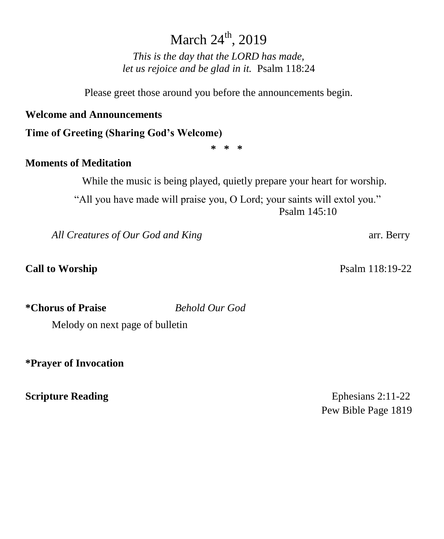# March 24<sup>th</sup>, 2019

*This is the day that the LORD has made, let us rejoice and be glad in it.* Psalm 118:24

Please greet those around you before the announcements begin.

### **Welcome and Announcements**

**Time of Greeting (Sharing God's Welcome)**

**\* \* \***

## **Moments of Meditation**

While the music is being played, quietly prepare your heart for worship.

"All you have made will praise you, O Lord; your saints will extol you." Psalm 145:10

All Creatures of Our God and King **arrival and Struggler and All Creatures** arr. Berry

**Call to Worship Psalm 118:19-22** 

**\*Chorus of Praise** *Behold Our God* 

Melody on next page of bulletin

**\*Prayer of Invocation** 

**Scripture Reading** Ephesians 2:11-22 Pew Bible Page 1819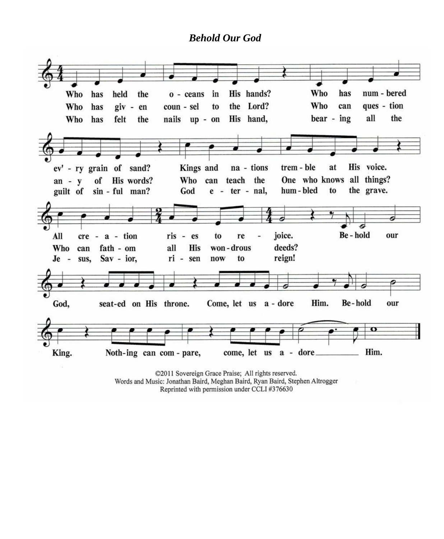### *Behold Our God*



©2011 Sovereign Grace Praise; All rights reserved. Words and Music: Jonathan Baird, Meghan Baird, Ryan Baird, Stephen Altrogger Reprinted with permission under CCLI #376630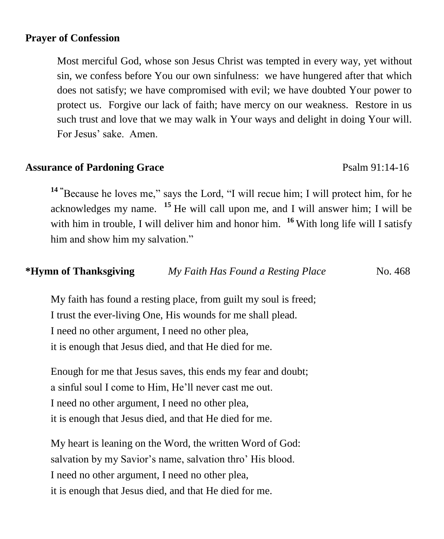### **Prayer of Confession**

Most merciful God, whose son Jesus Christ was tempted in every way, yet without sin, we confess before You our own sinfulness: we have hungered after that which does not satisfy; we have compromised with evil; we have doubted Your power to protect us. Forgive our lack of faith; have mercy on our weakness. Restore in us such trust and love that we may walk in Your ways and delight in doing Your will. For Jesus' sake. Amen.

### **Assurance of Pardoning Grace** Psalm 91:14-16

**<sup>14</sup> "**Because he loves me," says the Lord, "I will recue him; I will protect him, for he acknowledges my name. **<sup>15</sup>** He will call upon me, and I will answer him; I will be with him in trouble, I will deliver him and honor him. <sup>16</sup> With long life will I satisfy him and show him my salvation."

## *\*Hymn of Thanksgiving My Faith Has Found a Resting Place* No. 468<sup>*My Faith Has Found a Resting Place*</sup>

My faith has found a resting place, from guilt my soul is freed; I trust the ever-living One, His wounds for me shall plead. I need no other argument, I need no other plea, it is enough that Jesus died, and that He died for me.

Enough for me that Jesus saves, this ends my fear and doubt; a sinful soul I come to Him, He'll never cast me out. I need no other argument, I need no other plea, it is enough that Jesus died, and that He died for me.

My heart is leaning on the Word, the written Word of God: salvation by my Savior's name, salvation thro' His blood. I need no other argument, I need no other plea, it is enough that Jesus died, and that He died for me.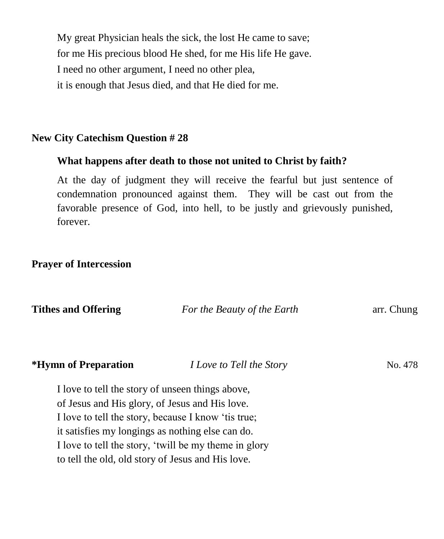My great Physician heals the sick, the lost He came to save; for me His precious blood He shed, for me His life He gave. I need no other argument, I need no other plea, it is enough that Jesus died, and that He died for me.

## **New City Catechism Question # 28**

### **What happens after death to those not united to Christ by faith?**

At the day of judgment they will receive the fearful but just sentence of condemnation pronounced against them. They will be cast out from the favorable presence of God, into hell, to be justly and grievously punished, forever.

### **Prayer of Intercession**

| <b>Tithes and Offering</b>                        | For the Beauty of the Earth                           | arr. Chung |
|---------------------------------------------------|-------------------------------------------------------|------------|
| *Hymn of Preparation                              | <i>I Love to Tell the Story</i>                       | No. 478    |
| I love to tell the story of unseen things above,  |                                                       |            |
| of Jesus and His glory, of Jesus and His love.    |                                                       |            |
|                                                   | I love to tell the story, because I know 't is true;  |            |
| it satisfies my longings as nothing else can do.  |                                                       |            |
|                                                   | I love to tell the story, 'twill be my theme in glory |            |
| to tell the old, old story of Jesus and His love. |                                                       |            |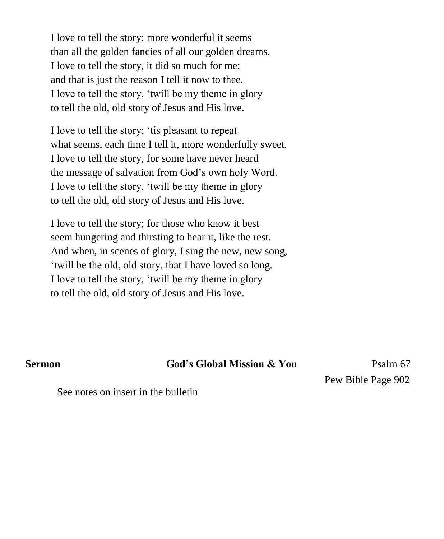I love to tell the story; more wonderful it seems than all the golden fancies of all our golden dreams. I love to tell the story, it did so much for me; and that is just the reason I tell it now to thee. I love to tell the story, 'twill be my theme in glory to tell the old, old story of Jesus and His love.

I love to tell the story; 'tis pleasant to repeat what seems, each time I tell it, more wonderfully sweet. I love to tell the story, for some have never heard the message of salvation from God's own holy Word. I love to tell the story, 'twill be my theme in glory to tell the old, old story of Jesus and His love.

I love to tell the story; for those who know it best seem hungering and thirsting to hear it, like the rest. And when, in scenes of glory, I sing the new, new song, 'twill be the old, old story, that I have loved so long. I love to tell the story, 'twill be my theme in glory to tell the old, old story of Jesus and His love.

**Sermon God's Global Mission & You Psalm 67** 

Pew Bible Page 902

See notes on insert in the bulletin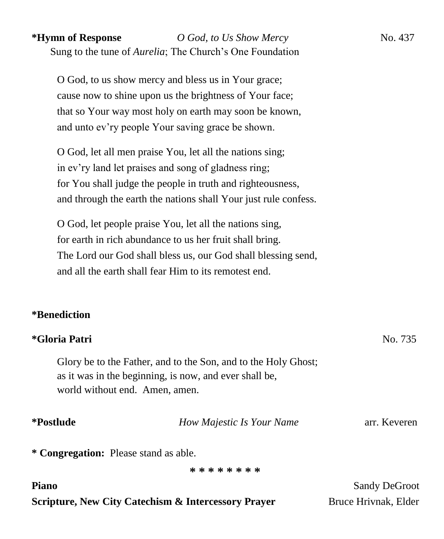# **\*Hymn of Response** *O God, to Us Show Mercy* No. 437 Sung to the tune of *Aurelia*; The Church's One Foundation

O God, to us show mercy and bless us in Your grace; cause now to shine upon us the brightness of Your face; that so Your way most holy on earth may soon be known, and unto ev'ry people Your saving grace be shown.

O God, let all men praise You, let all the nations sing; in ev'ry land let praises and song of gladness ring; for You shall judge the people in truth and righteousness, and through the earth the nations shall Your just rule confess.

O God, let people praise You, let all the nations sing, for earth in rich abundance to us her fruit shall bring. The Lord our God shall bless us, our God shall blessing send, and all the earth shall fear Him to its remotest end.

# **\*Benediction**

## **\*Gloria Patri** No. 735

Glory be to the Father, and to the Son, and to the Holy Ghost; as it was in the beginning, is now, and ever shall be, world without end. Amen, amen.

**\*Postlude** *How Majestic Is Your Name* arr. Keveren

**\* Congregation:** Please stand as able.

**\* \* \* \* \* \* \* \***

**Piano** Sandy DeGroot

# **Scripture, New City Catechism & Intercessory Prayer** Bruce Hrivnak, Elder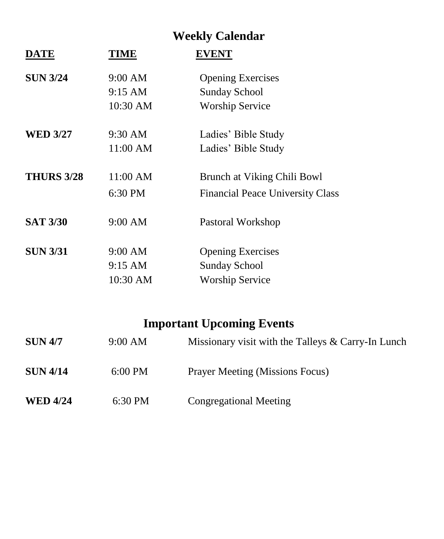# **Weekly Calendar**

| <b>DATE</b>       | TIME              | <b>EVENT</b>                            |  |
|-------------------|-------------------|-----------------------------------------|--|
| <b>SUN 3/24</b>   | 9:00 AM           | <b>Opening Exercises</b>                |  |
|                   | $9:15 \text{ AM}$ | <b>Sunday School</b>                    |  |
|                   | 10:30 AM          | <b>Worship Service</b>                  |  |
| <b>WED 3/27</b>   | 9:30 AM           | Ladies' Bible Study                     |  |
|                   | 11:00 AM          | Ladies' Bible Study                     |  |
| <b>THURS 3/28</b> | 11:00 AM          | Brunch at Viking Chili Bowl             |  |
|                   | 6:30 PM           | <b>Financial Peace University Class</b> |  |
| <b>SAT 3/30</b>   | 9:00 AM           | Pastoral Workshop                       |  |
| <b>SUN 3/31</b>   | 9:00 AM           | <b>Opening Exercises</b>                |  |
|                   | 9:15 AM           | <b>Sunday School</b>                    |  |
|                   | 10:30 AM          | <b>Worship Service</b>                  |  |

# **Important Upcoming Events**

| <b>SUN 4/7</b>  | 9:00 AM   | Missionary visit with the Talleys & Carry-In Lunch |
|-----------------|-----------|----------------------------------------------------|
| <b>SUN 4/14</b> | $6:00$ PM | <b>Prayer Meeting (Missions Focus)</b>             |
| <b>WED 4/24</b> | 6:30 PM   | <b>Congregational Meeting</b>                      |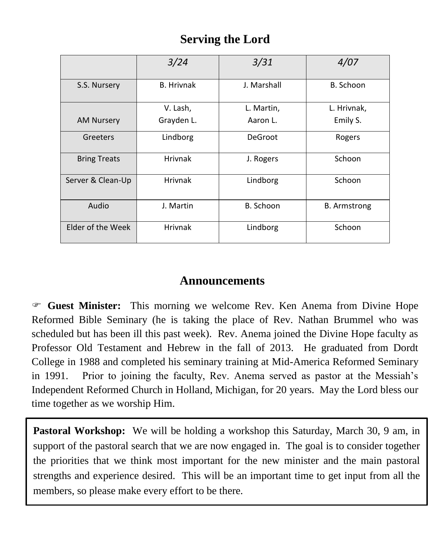# **Serving the Lord**

|                     | 3/24              | 3/31        | 4/07                |
|---------------------|-------------------|-------------|---------------------|
| S.S. Nursery        | <b>B.</b> Hrivnak | J. Marshall | B. Schoon           |
|                     | V. Lash,          | L. Martin,  | L. Hrivnak,         |
| <b>AM Nursery</b>   | Grayden L.        | Aaron L.    | Emily S.            |
| Greeters            | Lindborg          | DeGroot     | Rogers              |
| <b>Bring Treats</b> | <b>Hrivnak</b>    | J. Rogers   | Schoon              |
| Server & Clean-Up   | <b>Hrivnak</b>    | Lindborg    | Schoon              |
| Audio               | J. Martin         | B. Schoon   | <b>B.</b> Armstrong |
| Elder of the Week   | <b>Hrivnak</b>    | Lindborg    | Schoon              |

# **Announcements**

 **Guest Minister:** This morning we welcome Rev. Ken Anema from Divine Hope Reformed Bible Seminary (he is taking the place of Rev. Nathan Brummel who was scheduled but has been ill this past week). Rev. Anema joined the Divine Hope faculty as Professor Old Testament and Hebrew in the fall of 2013. He graduated from Dordt College in 1988 and completed his seminary training at Mid-America Reformed Seminary in 1991. Prior to joining the faculty, Rev. Anema served as pastor at the Messiah's Independent Reformed Church in Holland, Michigan, for 20 years. May the Lord bless our time together as we worship Him.

**Pastoral Workshop:** We will be holding a workshop this Saturday, March 30, 9 am, in support of the pastoral search that we are now engaged in. The goal is to consider together the priorities that we think most important for the new minister and the main pastoral strengths and experience desired. This will be an important time to get input from all the members, so please make every effort to be there.